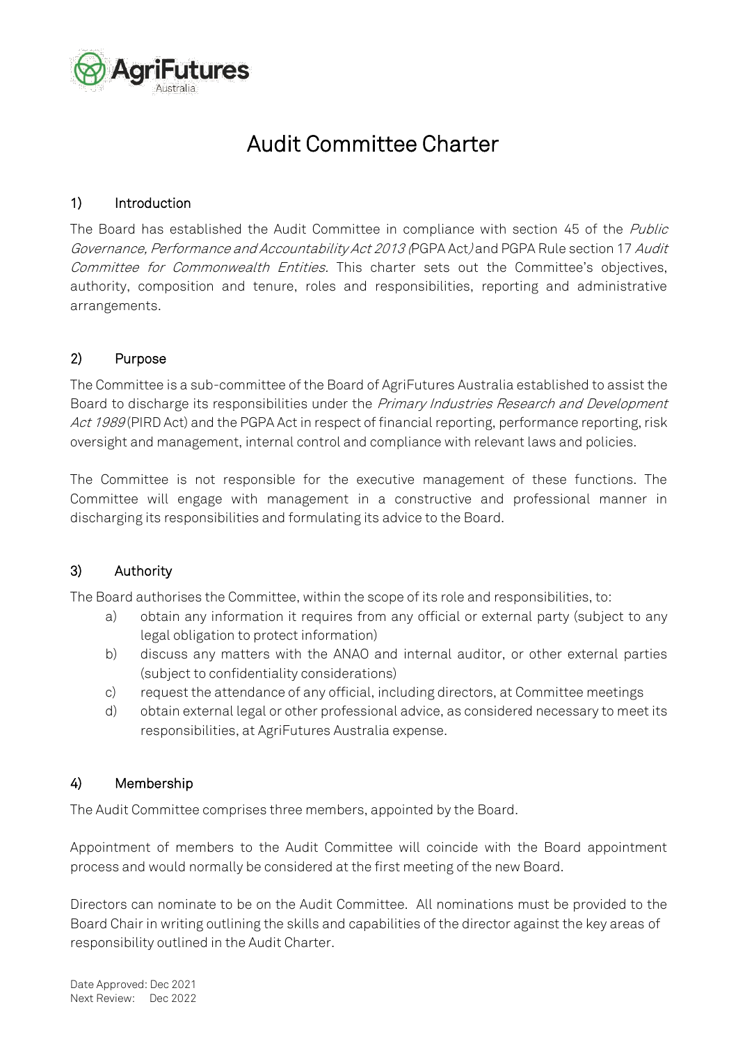

# Audit Committee Charter

## 1) Introduction

The Board has established the Audit Committee in compliance with section 45 of the Public Governance, Performance and Accountability Act 2013 (PGPA Act) and PGPA Rule section 17 Audit Committee for Commonwealth Entities. This charter sets out the Committee's objectives, authority, composition and tenure, roles and responsibilities, reporting and administrative arrangements.

# 2) Purpose

The Committee is a sub-committee of the Board of AgriFutures Australia established to assist the Board to discharge its responsibilities under the Primary Industries Research and Development Act 1989 (PIRD Act) and the PGPA Act in respect of financial reporting, performance reporting, risk oversight and management, internal control and compliance with relevant laws and policies.

The Committee is not responsible for the executive management of these functions. The Committee will engage with management in a constructive and professional manner in discharging its responsibilities and formulating its advice to the Board.

## 3) Authority

The Board authorises the Committee, within the scope of its role and responsibilities, to:

- a) obtain any information it requires from any official or external party (subject to any legal obligation to protect information)
- b) discuss any matters with the ANAO and internal auditor, or other external parties (subject to confidentiality considerations)
- c) request the attendance of any official, including directors, at Committee meetings
- d) obtain external legal or other professional advice, as considered necessary to meet its responsibilities, at AgriFutures Australia expense.

## 4) Membership

The Audit Committee comprises three members, appointed by the Board.

Appointment of members to the Audit Committee will coincide with the Board appointment process and would normally be considered at the first meeting of the new Board.

Directors can nominate to be on the Audit Committee. All nominations must be provided to the Board Chair in writing outlining the skills and capabilities of the director against the key areas of responsibility outlined in the Audit Charter.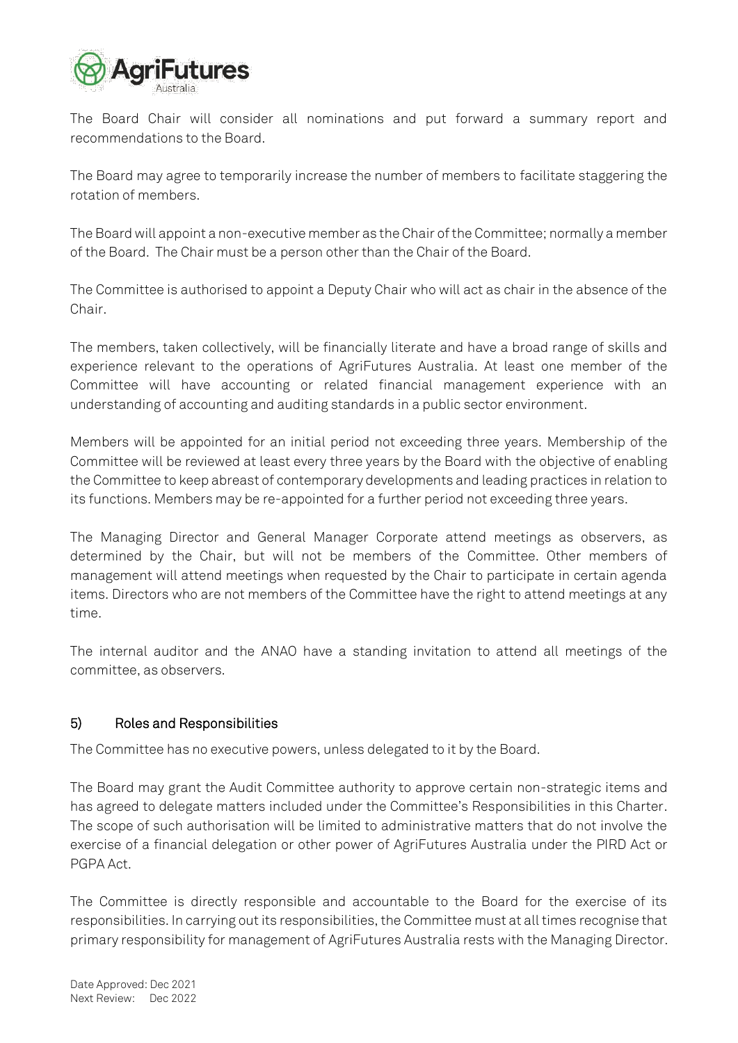

The Board Chair will consider all nominations and put forward a summary report and recommendations to the Board.

The Board may agree to temporarily increase the number of members to facilitate staggering the rotation of members.

The Board will appoint a non-executive member as the Chair of the Committee; normally a member of the Board. The Chair must be a person other than the Chair of the Board.

The Committee is authorised to appoint a Deputy Chair who will act as chair in the absence of the Chair.

The members, taken collectively, will be financially literate and have a broad range of skills and experience relevant to the operations of AgriFutures Australia. At least one member of the Committee will have accounting or related financial management experience with an understanding of accounting and auditing standards in a public sector environment.

Members will be appointed for an initial period not exceeding three years. Membership of the Committee will be reviewed at least every three years by the Board with the objective of enabling the Committee to keep abreast of contemporary developments and leading practices in relation to its functions. Members may be re-appointed for a further period not exceeding three years.

The Managing Director and General Manager Corporate attend meetings as observers, as determined by the Chair, but will not be members of the Committee. Other members of management will attend meetings when requested by the Chair to participate in certain agenda items. Directors who are not members of the Committee have the right to attend meetings at any time.

The internal auditor and the ANAO have a standing invitation to attend all meetings of the committee, as observers.

## 5) Roles and Responsibilities

The Committee has no executive powers, unless delegated to it by the Board.

The Board may grant the Audit Committee authority to approve certain non-strategic items and has agreed to delegate matters included under the Committee's Responsibilities in this Charter. The scope of such authorisation will be limited to administrative matters that do not involve the exercise of a financial delegation or other power of AgriFutures Australia under the PIRD Act or PGPA Act.

The Committee is directly responsible and accountable to the Board for the exercise of its responsibilities. In carrying out its responsibilities, the Committee must at all times recognise that primary responsibility for management of AgriFutures Australia rests with the Managing Director.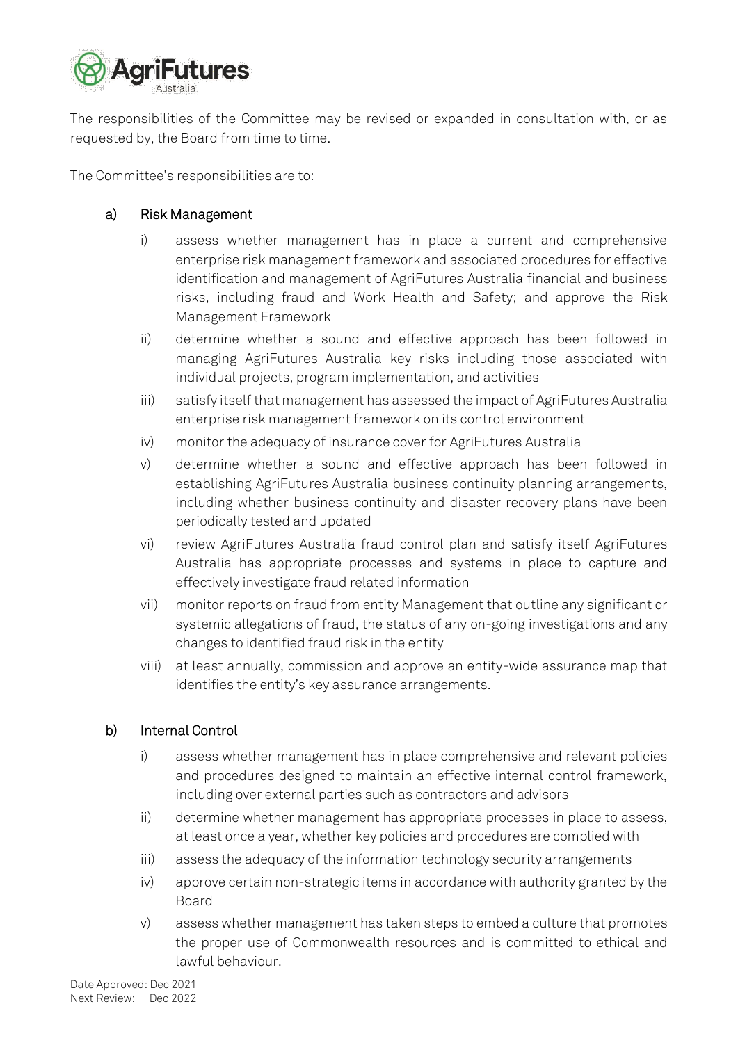

The responsibilities of the Committee may be revised or expanded in consultation with, or as requested by, the Board from time to time.

The Committee's responsibilities are to:

## a) Risk Management

- i) assess whether management has in place a current and comprehensive enterprise risk management framework and associated procedures for effective identification and management of AgriFutures Australia financial and business risks, including fraud and Work Health and Safety; and approve the Risk Management Framework
- ii) determine whether a sound and effective approach has been followed in managing AgriFutures Australia key risks including those associated with individual projects, program implementation, and activities
- iii) satisfy itself that management has assessed the impact of AgriFutures Australia enterprise risk management framework on its control environment
- iv) monitor the adequacy of insurance cover for AgriFutures Australia
- v) determine whether a sound and effective approach has been followed in establishing AgriFutures Australia business continuity planning arrangements, including whether business continuity and disaster recovery plans have been periodically tested and updated
- vi) review AgriFutures Australia fraud control plan and satisfy itself AgriFutures Australia has appropriate processes and systems in place to capture and effectively investigate fraud related information
- vii) monitor reports on fraud from entity Management that outline any significant or systemic allegations of fraud, the status of any on-going investigations and any changes to identified fraud risk in the entity
- viii) at least annually, commission and approve an entity-wide assurance map that identifies the entity's key assurance arrangements.

## b) Internal Control

- i) assess whether management has in place comprehensive and relevant policies and procedures designed to maintain an effective internal control framework, including over external parties such as contractors and advisors
- ii) determine whether management has appropriate processes in place to assess, at least once a year, whether key policies and procedures are complied with
- iii) assess the adequacy of the information technology security arrangements
- iv) approve certain non-strategic items in accordance with authority granted by the Board
- v) assess whether management has taken steps to embed a culture that promotes the proper use of Commonwealth resources and is committed to ethical and lawful behaviour.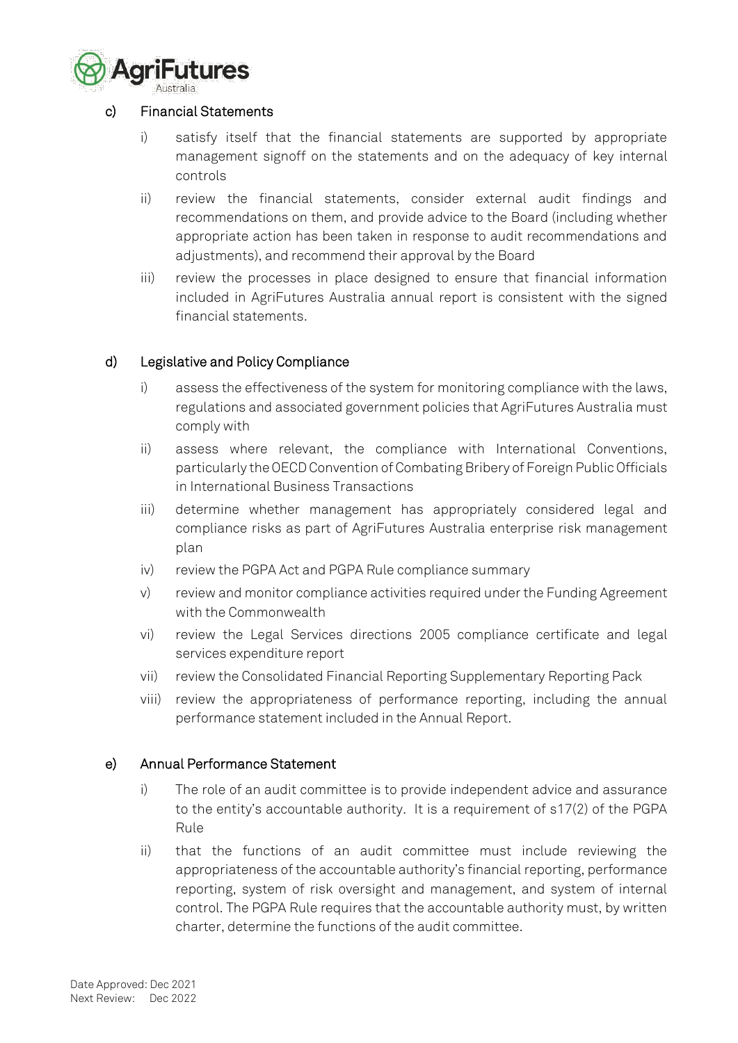

#### c) Financial Statements

- i) satisfy itself that the financial statements are supported by appropriate management signoff on the statements and on the adequacy of key internal controls
- ii) review the financial statements, consider external audit findings and recommendations on them, and provide advice to the Board (including whether appropriate action has been taken in response to audit recommendations and adjustments), and recommend their approval by the Board
- iii) review the processes in place designed to ensure that financial information included in AgriFutures Australia annual report is consistent with the signed financial statements.

## d) Legislative and Policy Compliance

- i) assess the effectiveness of the system for monitoring compliance with the laws, regulations and associated government policies that AgriFutures Australia must comply with
- ii) assess where relevant, the compliance with International Conventions, particularly the OECD Convention of Combating Bribery of Foreign Public Officials in International Business Transactions
- iii) determine whether management has appropriately considered legal and compliance risks as part of AgriFutures Australia enterprise risk management plan
- iv) review the PGPA Act and PGPA Rule compliance summary
- v) review and monitor compliance activities required under the Funding Agreement with the Commonwealth
- vi) review the Legal Services directions 2005 compliance certificate and legal services expenditure report
- vii) review the Consolidated Financial Reporting Supplementary Reporting Pack
- viii) review the appropriateness of performance reporting, including the annual performance statement included in the Annual Report.

#### e) Annual Performance Statement

- i) The role of an audit committee is to provide independent advice and assurance to the entity's accountable authority. It is a requirement of s17(2) of the PGPA Rule
- ii) that the functions of an audit committee must include reviewing the appropriateness of the accountable authority's financial reporting, performance reporting, system of risk oversight and management, and system of internal control. The PGPA Rule requires that the accountable authority must, by written charter, determine the functions of the audit committee.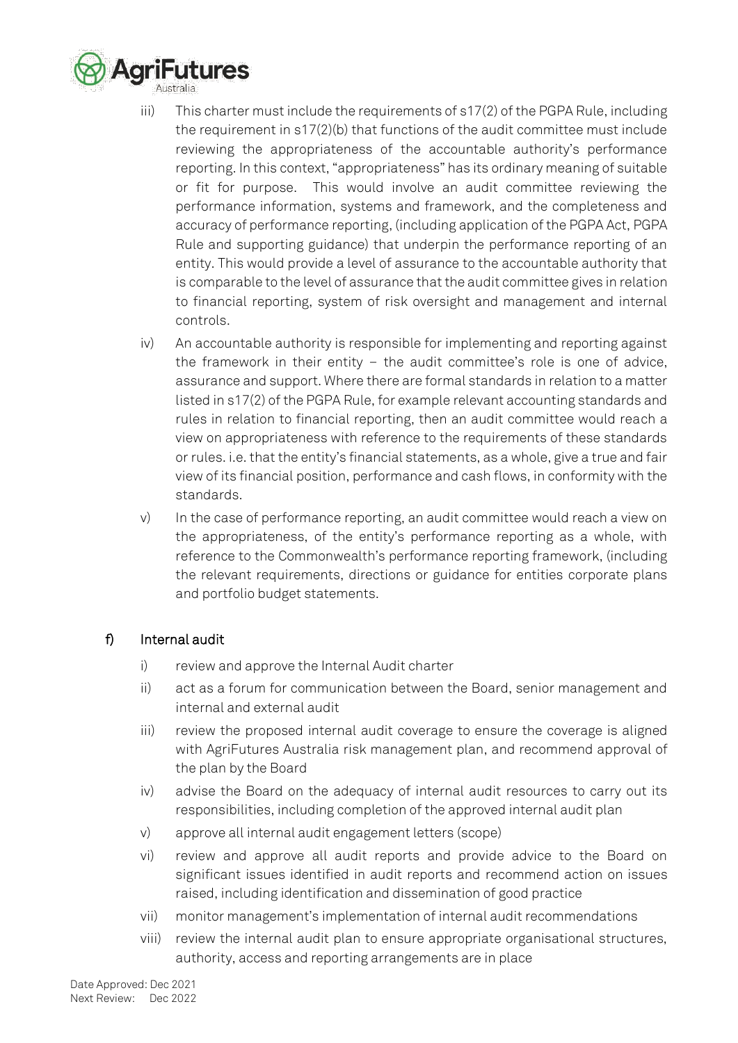

- iii) This charter must include the requirements of s17(2) of the PGPA Rule, including the requirement in  $s17(2)(b)$  that functions of the audit committee must include reviewing the appropriateness of the accountable authority's performance reporting. In this context, "appropriateness" has its ordinary meaning of suitable or fit for purpose. This would involve an audit committee reviewing the performance information, systems and framework, and the completeness and accuracy of performance reporting, (including application of the PGPA Act, PGPA Rule and supporting guidance) that underpin the performance reporting of an entity. This would provide a level of assurance to the accountable authority that is comparable to the level of assurance that the audit committee gives in relation to financial reporting, system of risk oversight and management and internal controls.
- iv) An accountable authority is responsible for implementing and reporting against the framework in their entity – the audit committee's role is one of advice, assurance and support. Where there are formal standards in relation to a matter listed in s17(2) of the PGPA Rule, for example relevant accounting standards and rules in relation to financial reporting, then an audit committee would reach a view on appropriateness with reference to the requirements of these standards or rules. i.e. that the entity's financial statements, as a whole, give a true and fair view of its financial position, performance and cash flows, in conformity with the standards.
- v) In the case of performance reporting, an audit committee would reach a view on the appropriateness, of the entity's performance reporting as a whole, with reference to the Commonwealth's performance reporting framework, (including the relevant requirements, directions or guidance for entities corporate plans and portfolio budget statements.

# f) Internal audit

- i) review and approve the Internal Audit charter
- ii) act as a forum for communication between the Board, senior management and internal and external audit
- iii) review the proposed internal audit coverage to ensure the coverage is aligned with AgriFutures Australia risk management plan, and recommend approval of the plan by the Board
- iv) advise the Board on the adequacy of internal audit resources to carry out its responsibilities, including completion of the approved internal audit plan
- v) approve all internal audit engagement letters (scope)
- vi) review and approve all audit reports and provide advice to the Board on significant issues identified in audit reports and recommend action on issues raised, including identification and dissemination of good practice
- vii) monitor management's implementation of internal audit recommendations
- viii) review the internal audit plan to ensure appropriate organisational structures, authority, access and reporting arrangements are in place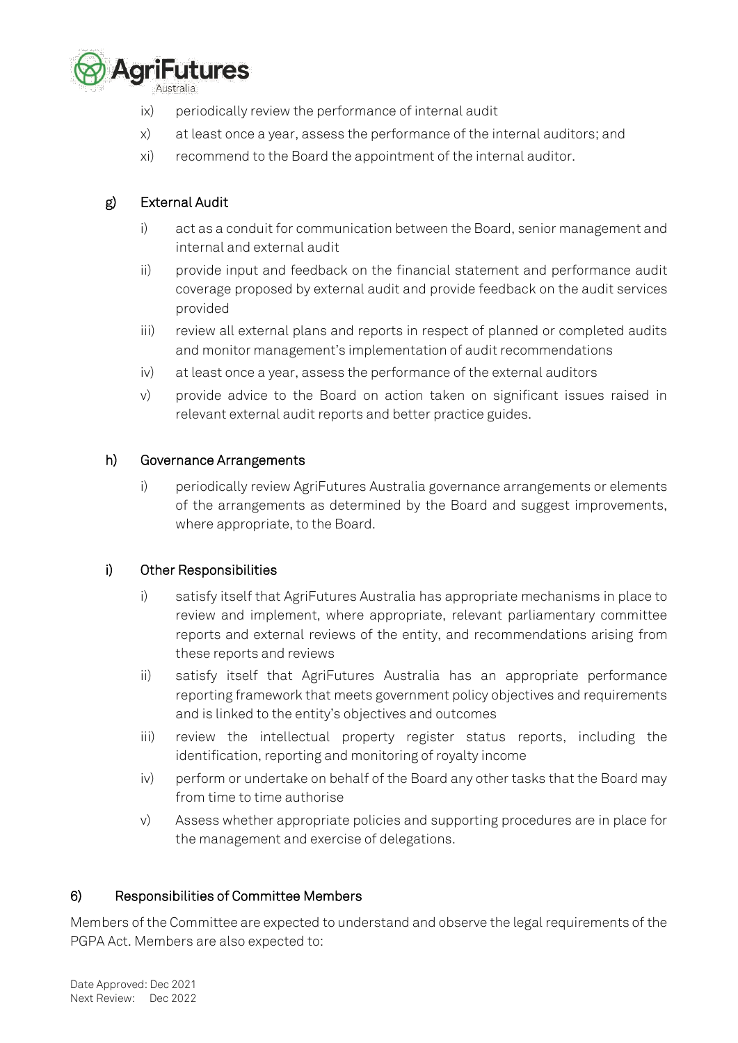

- ix) periodically review the performance of internal audit
- x) at least once a year, assess the performance of the internal auditors; and
- xi) recommend to the Board the appointment of the internal auditor.

# g) External Audit

- i) act as a conduit for communication between the Board, senior management and internal and external audit
- ii) provide input and feedback on the financial statement and performance audit coverage proposed by external audit and provide feedback on the audit services provided
- iii) review all external plans and reports in respect of planned or completed audits and monitor management's implementation of audit recommendations
- iv) at least once a year, assess the performance of the external auditors
- v) provide advice to the Board on action taken on significant issues raised in relevant external audit reports and better practice guides.

## h) Governance Arrangements

i) periodically review AgriFutures Australia governance arrangements or elements of the arrangements as determined by the Board and suggest improvements, where appropriate, to the Board.

## i) Other Responsibilities

- i) satisfy itself that AgriFutures Australia has appropriate mechanisms in place to review and implement, where appropriate, relevant parliamentary committee reports and external reviews of the entity, and recommendations arising from these reports and reviews
- ii) satisfy itself that AgriFutures Australia has an appropriate performance reporting framework that meets government policy objectives and requirements and is linked to the entity's objectives and outcomes
- iii) review the intellectual property register status reports, including the identification, reporting and monitoring of royalty income
- iv) perform or undertake on behalf of the Board any other tasks that the Board may from time to time authorise
- v) Assess whether appropriate policies and supporting procedures are in place for the management and exercise of delegations.

## 6) Responsibilities of Committee Members

Members of the Committee are expected to understand and observe the legal requirements of the PGPA Act. Members are also expected to: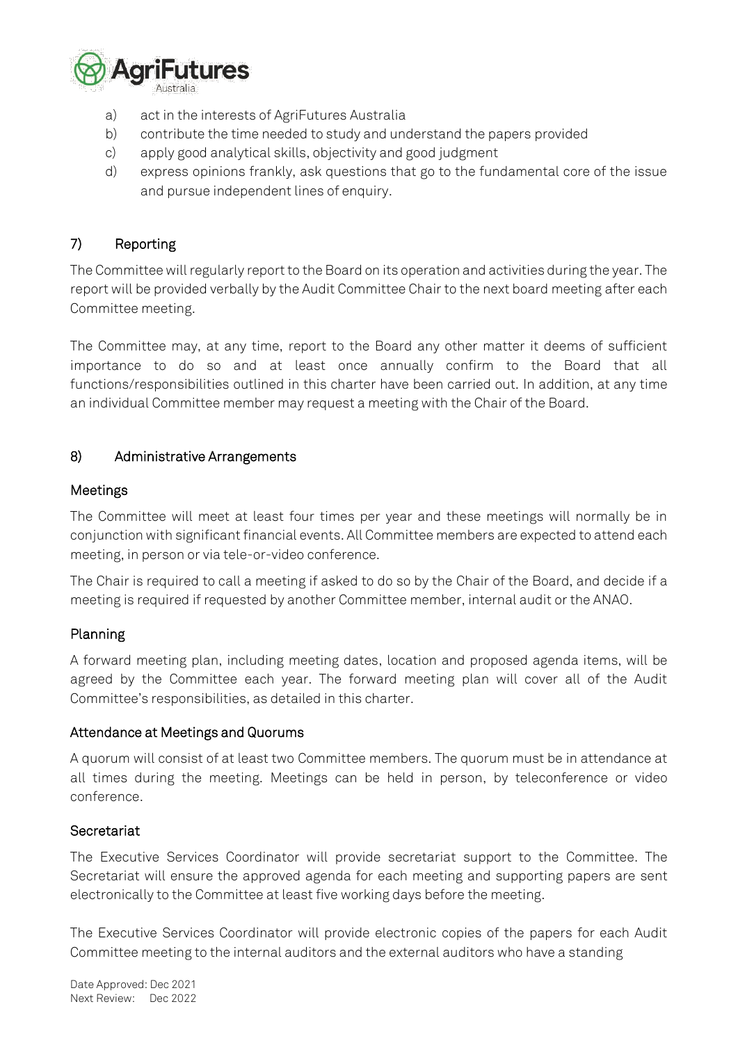

- a) act in the interests of AgriFutures Australia
- b) contribute the time needed to study and understand the papers provided
- c) apply good analytical skills, objectivity and good judgment
- d) express opinions frankly, ask questions that go to the fundamental core of the issue and pursue independent lines of enquiry.

# 7) Reporting

The Committee will regularly report to the Board on its operation and activities during the year. The report will be provided verbally by the Audit Committee Chair to the next board meeting after each Committee meeting.

The Committee may, at any time, report to the Board any other matter it deems of sufficient importance to do so and at least once annually confirm to the Board that all functions/responsibilities outlined in this charter have been carried out. In addition, at any time an individual Committee member may request a meeting with the Chair of the Board.

#### 8) Administrative Arrangements

#### Meetings

The Committee will meet at least four times per year and these meetings will normally be in conjunction with significant financial events. All Committee members are expected to attend each meeting, in person or via tele-or-video conference.

The Chair is required to call a meeting if asked to do so by the Chair of the Board, and decide if a meeting is required if requested by another Committee member, internal audit or the ANAO.

## Planning

A forward meeting plan, including meeting dates, location and proposed agenda items, will be agreed by the Committee each year. The forward meeting plan will cover all of the Audit Committee's responsibilities, as detailed in this charter.

#### Attendance at Meetings and Quorums

A quorum will consist of at least two Committee members. The quorum must be in attendance at all times during the meeting. Meetings can be held in person, by teleconference or video conference.

#### **Secretariat**

The Executive Services Coordinator will provide secretariat support to the Committee. The Secretariat will ensure the approved agenda for each meeting and supporting papers are sent electronically to the Committee at least five working days before the meeting.

The Executive Services Coordinator will provide electronic copies of the papers for each Audit Committee meeting to the internal auditors and the external auditors who have a standing